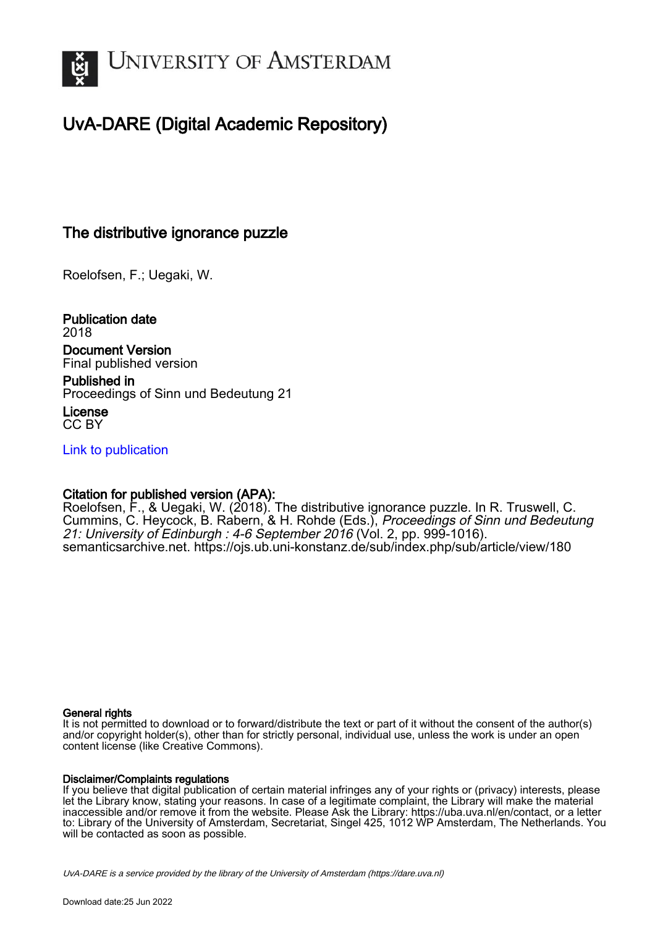

# UvA-DARE (Digital Academic Repository)

## The distributive ignorance puzzle

Roelofsen, F.; Uegaki, W.

Publication date 2018 Document Version Final published version

Published in Proceedings of Sinn und Bedeutung 21

License CC BY

[Link to publication](https://dare.uva.nl/personal/pure/en/publications/the-distributive-ignorance-puzzle(175a6101-23b6-402e-87aa-4d1a93c051ff).html)

## Citation for published version (APA):

Roelofsen, F., & Uegaki, W. (2018). The distributive ignorance puzzle. In R. Truswell, C. Cummins, C. Heycock, B. Rabern, & H. Rohde (Eds.), *Proceedings of Sinn und Bedeutung* 21: University of Edinburgh : 4-6 September 2016 (Vol. 2, pp. 999-1016). semanticsarchive.net.<https://ojs.ub.uni-konstanz.de/sub/index.php/sub/article/view/180>

### General rights

It is not permitted to download or to forward/distribute the text or part of it without the consent of the author(s) and/or copyright holder(s), other than for strictly personal, individual use, unless the work is under an open content license (like Creative Commons).

### Disclaimer/Complaints regulations

If you believe that digital publication of certain material infringes any of your rights or (privacy) interests, please let the Library know, stating your reasons. In case of a legitimate complaint, the Library will make the material inaccessible and/or remove it from the website. Please Ask the Library: https://uba.uva.nl/en/contact, or a letter to: Library of the University of Amsterdam, Secretariat, Singel 425, 1012 WP Amsterdam, The Netherlands. You will be contacted as soon as possible.

UvA-DARE is a service provided by the library of the University of Amsterdam (http*s*://dare.uva.nl)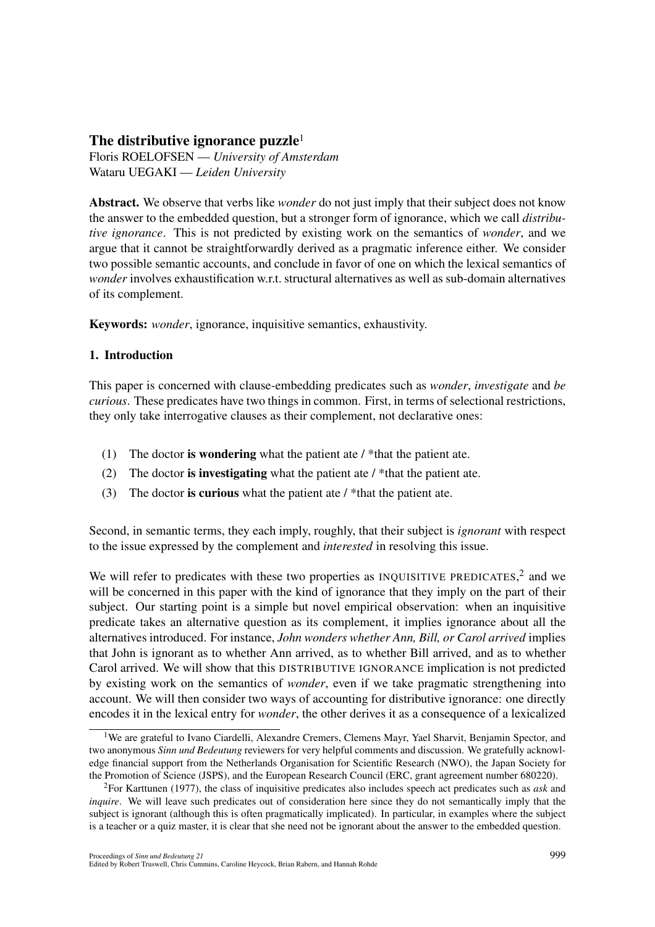## The distributive ignorance puzzle $1$

Floris ROELOFSEN — *University of Amsterdam* Wataru UEGAKI — *Leiden University*

Abstract. We observe that verbs like *wonder* do not just imply that their subject does not know the answer to the embedded question, but a stronger form of ignorance, which we call *distributive ignorance*. This is not predicted by existing work on the semantics of *wonder*, and we argue that it cannot be straightforwardly derived as a pragmatic inference either. We consider two possible semantic accounts, and conclude in favor of one on which the lexical semantics of *wonder* involves exhaustification w.r.t. structural alternatives as well as sub-domain alternatives of its complement.

Keywords: *wonder*, ignorance, inquisitive semantics, exhaustivity.

## 1. Introduction

This paper is concerned with clause-embedding predicates such as *wonder*, *investigate* and *be curious*. These predicates have two things in common. First, in terms of selectional restrictions, they only take interrogative clauses as their complement, not declarative ones:

- (1) The doctor is wondering what the patient ate / \*that the patient ate.
- (2) The doctor is investigating what the patient ate / \*that the patient ate.
- (3) The doctor is curious what the patient ate  $/$  \*that the patient ate.

Second, in semantic terms, they each imply, roughly, that their subject is *ignorant* with respect to the issue expressed by the complement and *interested* in resolving this issue.

We will refer to predicates with these two properties as INQUISITIVE PREDICATES,<sup>2</sup> and we will be concerned in this paper with the kind of ignorance that they imply on the part of their subject. Our starting point is a simple but novel empirical observation: when an inquisitive predicate takes an alternative question as its complement, it implies ignorance about all the alternatives introduced. For instance, *John wonders whether Ann, Bill, or Carol arrived* implies that John is ignorant as to whether Ann arrived, as to whether Bill arrived, and as to whether Carol arrived. We will show that this DISTRIBUTIVE IGNORANCE implication is not predicted by existing work on the semantics of *wonder*, even if we take pragmatic strengthening into account. We will then consider two ways of accounting for distributive ignorance: one directly encodes it in the lexical entry for *wonder*, the other derives it as a consequence of a lexicalized

<sup>&</sup>lt;sup>1</sup>We are grateful to Ivano Ciardelli, Alexandre Cremers, Clemens Mayr, Yael Sharvit, Benjamin Spector, and two anonymous *Sinn und Bedeutung* reviewers for very helpful comments and discussion. We gratefully acknowledge financial support from the Netherlands Organisation for Scientific Research (NWO), the Japan Society for the Promotion of Science (JSPS), and the European Research Council (ERC, grant agreement number 680220).

<sup>2</sup>For Karttunen (1977), the class of inquisitive predicates also includes speech act predicates such as *ask* and *inquire*. We will leave such predicates out of consideration here since they do not semantically imply that the subject is ignorant (although this is often pragmatically implicated). In particular, in examples where the subject is a teacher or a quiz master, it is clear that she need not be ignorant about the answer to the embedded question.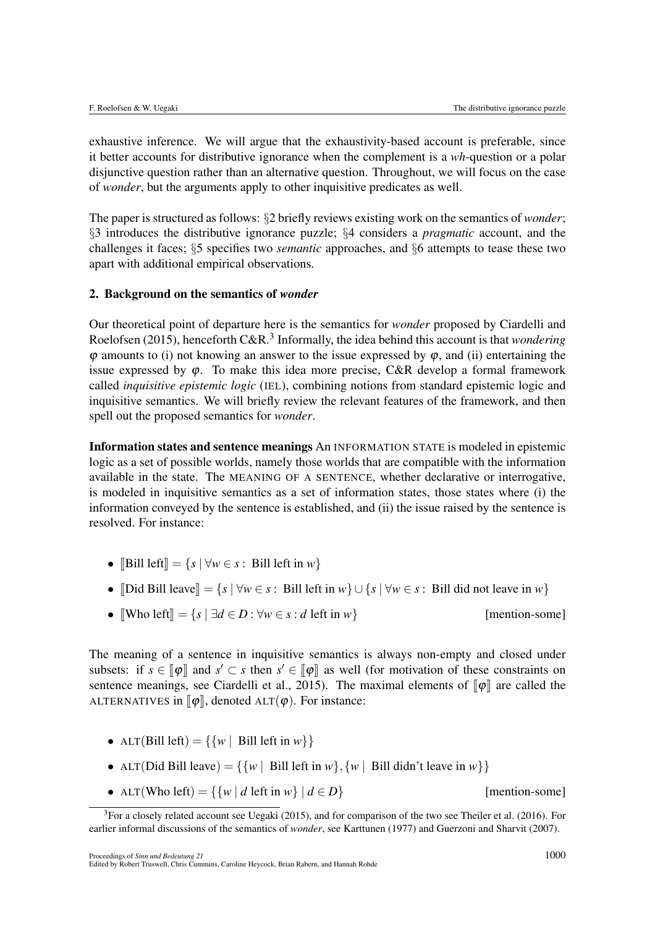exhaustive inference. We will argue that the exhaustivity-based account is preferable, since it better accounts for distributive ignorance when the complement is a *wh*-question or a polar disjunctive question rather than an alternative question. Throughout, we will focus on the case of *wonder*, but the arguments apply to other inquisitive predicates as well.

The paper is structured as follows: *§*2 briefly reviews existing work on the semantics of *wonder*; *§*3 introduces the distributive ignorance puzzle; *§*4 considers a *pragmatic* account, and the challenges it faces; *§*5 specifies two *semantic* approaches, and *§*6 attempts to tease these two apart with additional empirical observations.

### 2. Background on the semantics of *wonder*

Our theoretical point of departure here is the semantics for *wonder* proposed by Ciardelli and Roelofsen (2015), henceforth C&R.<sup>3</sup> Informally, the idea behind this account is that *wondering*  $\varphi$  amounts to (i) not knowing an answer to the issue expressed by  $\varphi$ , and (ii) entertaining the issue expressed by  $\varphi$ . To make this idea more precise, C&R develop a formal framework called *inquisitive epistemic logic* (IEL), combining notions from standard epistemic logic and inquisitive semantics. We will briefly review the relevant features of the framework, and then spell out the proposed semantics for *wonder*.

Information states and sentence meanings An INFORMATION STATE is modeled in epistemic logic as a set of possible worlds, namely those worlds that are compatible with the information available in the state. The MEANING OF A SENTENCE, whether declarative or interrogative, is modeled in inquisitive semantics as a set of information states, those states where (i) the information conveyed by the sentence is established, and (ii) the issue raised by the sentence is resolved. For instance:

- [Bill left] =  $\{s \mid \forall w \in s : \text{ Bill left in } w\}$
- [Did Bill leave] =  $\{s \mid \forall w \in s : B \text{ all left in } w\} \cup \{s \mid \forall w \in s : B \text{ ill did not leave in } w\}$
- $[When \text{def } x] = \{s \mid \exists d \in D : \forall w \in s : d \text{ left in } w\}$  [mention-some]

The meaning of a sentence in inquisitive semantics is always non-empty and closed under subsets: if  $s \in \llbracket \phi \rrbracket$  and  $s' \subset s$  then  $s' \in \llbracket \phi \rrbracket$  as well (for motivation of these constraints on sentence meanings, see Ciardelli et al., 2015). The maximal elements of  $\llbracket \phi \rrbracket$  are called the ALTERNATIVES in  $\llbracket \phi \rrbracket$ , denoted ALT( $\phi$ ). For instance:

- ALT(Bill left) =  $\{ \{ w \mid \text{Bill left in } w \} \}$
- ALT(Did Bill leave) =  $\{\{w \mid \text{Bill left in } w\}, \{w \mid \text{Bill didn't leave in } w\}\}\$
- ALT(Who left) =  $\{ \{ w \mid d \text{ left in } w \} \mid d \in D \}$  [mention-some]

 $3$ For a closely related account see Uegaki (2015), and for comparison of the two see Theiler et al. (2016). For earlier informal discussions of the semantics of *wonder*, see Karttunen (1977) and Guerzoni and Sharvit (2007).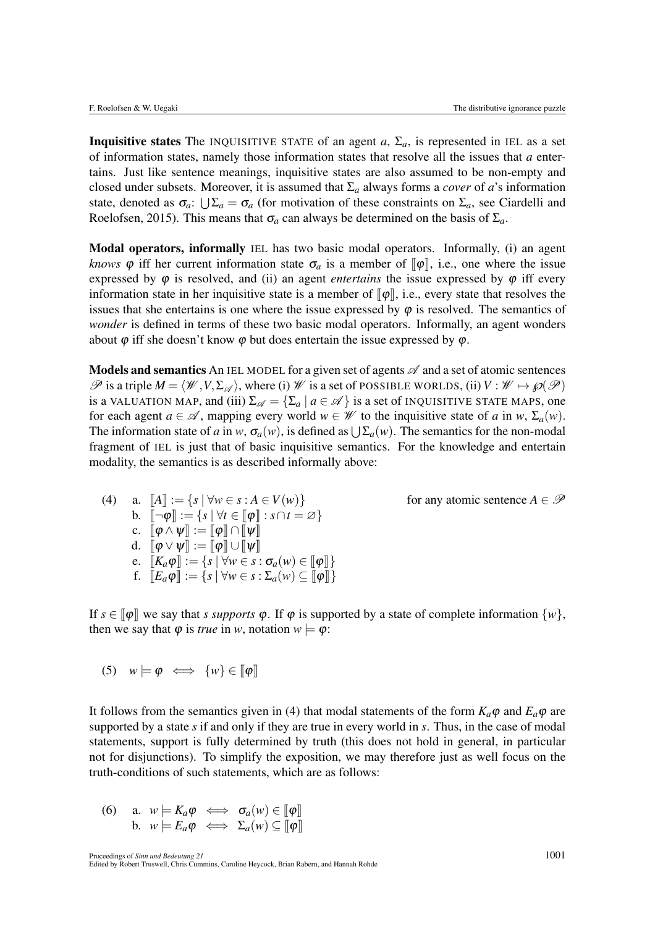**Inquisitive states** The INQUISITIVE STATE of an agent  $a$ ,  $\Sigma_a$ , is represented in IEL as a set of information states, namely those information states that resolve all the issues that *a* entertains. Just like sentence meanings, inquisitive states are also assumed to be non-empty and closed under subsets. Moreover, it is assumed that  $\Sigma_a$  always forms a *cover* of *a*'s information state, denoted as  $\sigma_a$ :  $\bigcup \Sigma_a = \sigma_a$  (for motivation of these constraints on  $\Sigma_a$ , see Ciardelli and Roelofsen, 2015). This means that  $\sigma_a$  can always be determined on the basis of  $\Sigma_a$ .

Modal operators, informally IEL has two basic modal operators. Informally, (i) an agent *knows*  $\varphi$  iff her current information state  $\sigma_a$  is a member of  $\lbrack \varphi \rbrack$ , i.e., one where the issue expressed by  $\varphi$  is resolved, and (ii) an agent *entertains* the issue expressed by  $\varphi$  iff every information state in her inquisitive state is a member of  $\llbracket \varphi \rrbracket$ , i.e., every state that resolves the issues that she entertains is one where the issue expressed by  $\varphi$  is resolved. The semantics of *wonder* is defined in terms of these two basic modal operators. Informally, an agent wonders about  $\varphi$  iff she doesn't know  $\varphi$  but does entertain the issue expressed by  $\varphi$ .

Models and semantics An IEL MODEL for a given set of agents *A* and a set of atomic sentences  $\mathscr P$  is a triple  $M = \langle \mathscr W, V, \Sigma_{\mathscr A} \rangle$ , where (i)  $\mathscr W$  is a set of POSSIBLE WORLDS, (ii)  $V : \mathscr W \mapsto \wp(\mathscr P)$ is a VALUATION MAP, and (iii)  $\Sigma_{\mathscr{A}} = {\Sigma_a | a \in \mathscr{A}}$  is a set of INQUISITIVE STATE MAPS, one for each agent  $a \in \mathcal{A}$ , mapping every world  $w \in \mathcal{W}$  to the inquisitive state of *a* in *w*,  $\Sigma_a(w)$ . The information state of *a* in *w*,  $\sigma_a(w)$ , is defined as  $\bigcup \Sigma_a(w)$ . The semantics for the non-modal fragment of IEL is just that of basic inquisitive semantics. For the knowledge and entertain modality, the semantics is as described informally above:

(4) a.  $||A|| := \{ s | \forall w \in s : A \in V(w) \}$  for any atomic sentence  $A \in \mathcal{P}$ b.  $\llbracket \neg \varphi \rrbracket := \{ s \mid \forall t \in \llbracket \varphi \rrbracket : s \cap t = \varnothing \}$ c.  $\llbracket \varphi \wedge \psi \rrbracket := \llbracket \varphi \rrbracket \cap \llbracket \psi \rrbracket$ d.  $[\![\varphi \vee \psi ]\!] := [\![\varphi ]\!] \cup [\![\psi ]\!]$ e.  $[K_a \varphi] := \{ s \mid \forall w \in s : \sigma_a(w) \in [\varphi] \}$ f.  $\llbracket E_a \varphi \rrbracket := \{ s \mid \forall w \in s : \Sigma_a(w) \subseteq \llbracket \varphi \rrbracket \}$ 

If  $s \in [\![\varphi]\!]$  we say that *s supports*  $\varphi$ . If  $\varphi$  is supported by a state of complete information  $\{w\}$ , then we say that  $\varphi$  is *true* in *w*, notation  $w \models \varphi$ :

$$
(5) \quad w \models \varphi \iff \{w\} \in [\varphi]
$$

It follows from the semantics given in (4) that modal statements of the form  $K_a\varphi$  and  $E_a\varphi$  are supported by a state *s* if and only if they are true in every world in *s*. Thus, in the case of modal statements, support is fully determined by truth (this does not hold in general, in particular not for disjunctions). To simplify the exposition, we may therefore just as well focus on the truth-conditions of such statements, which are as follows:

(6) a.  $w \models K_a \varphi \iff \sigma_a(w) \in [\![\varphi]\!]$ b.  $w \models E_a \varphi \iff \Sigma_a(w) \subseteq [\![\varphi]\!]$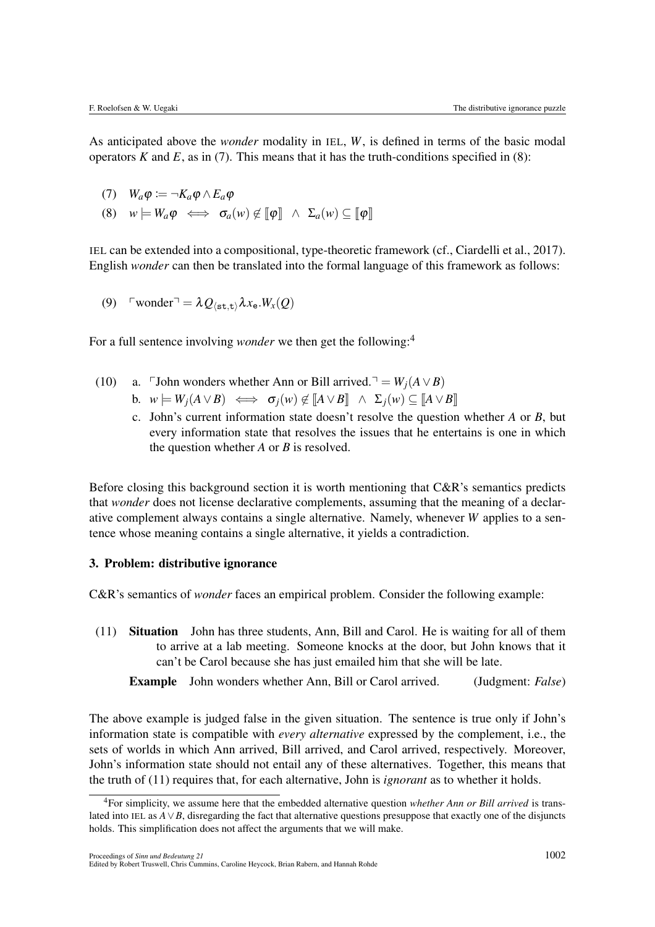As anticipated above the *wonder* modality in IEL, *W*, is defined in terms of the basic modal operators  $K$  and  $E$ , as in (7). This means that it has the truth-conditions specified in (8):

$$
(7) \quad W_a \varphi := \neg K_a \varphi \wedge E_a \varphi
$$

(8)  $w \models W_a \varphi \iff \sigma_a(w) \not\in [\![\varphi]\!] \ \land \ \Sigma_a(w) \subseteq [\![\varphi]\!]$ 

IEL can be extended into a compositional, type-theoretic framework (cf., Ciardelli et al., 2017). English *wonder* can then be translated into the formal language of this framework as follows:

(9)  $\Gamma$ wonder $\Gamma = \lambda Q_{\text{(st.t)}} \lambda x_e$ *.W<sub>x</sub>*(*Q*)

For a full sentence involving *wonder* we then get the following:<sup>4</sup>

- (10) a. John wonders whether Ann or Bill arrived.<sup> $\neg$ </sup> = *W<sub>i</sub>*( $A \lor B$ )
	- b.  $w \models W_i(A \lor B) \iff \sigma_i(w) \notin [A \lor B] \land \Sigma_i(w) \subseteq [A \lor B]$ 
		- c. John's current information state doesn't resolve the question whether *A* or *B*, but every information state that resolves the issues that he entertains is one in which the question whether *A* or *B* is resolved.

Before closing this background section it is worth mentioning that C&R's semantics predicts that *wonder* does not license declarative complements, assuming that the meaning of a declarative complement always contains a single alternative. Namely, whenever *W* applies to a sentence whose meaning contains a single alternative, it yields a contradiction.

## 3. Problem: distributive ignorance

C&R's semantics of *wonder* faces an empirical problem. Consider the following example:

(11) Situation John has three students, Ann, Bill and Carol. He is waiting for all of them to arrive at a lab meeting. Someone knocks at the door, but John knows that it can't be Carol because she has just emailed him that she will be late.

Example John wonders whether Ann, Bill or Carol arrived. (Judgment: *False*)

The above example is judged false in the given situation. The sentence is true only if John's information state is compatible with *every alternative* expressed by the complement, i.e., the sets of worlds in which Ann arrived, Bill arrived, and Carol arrived, respectively. Moreover, John's information state should not entail any of these alternatives. Together, this means that the truth of (11) requires that, for each alternative, John is *ignorant* as to whether it holds.

<sup>4</sup>For simplicity, we assume here that the embedded alternative question *whether Ann or Bill arrived* is translated into IEL as  $A \vee B$ , disregarding the fact that alternative questions presuppose that exactly one of the disjuncts holds. This simplification does not affect the arguments that we will make.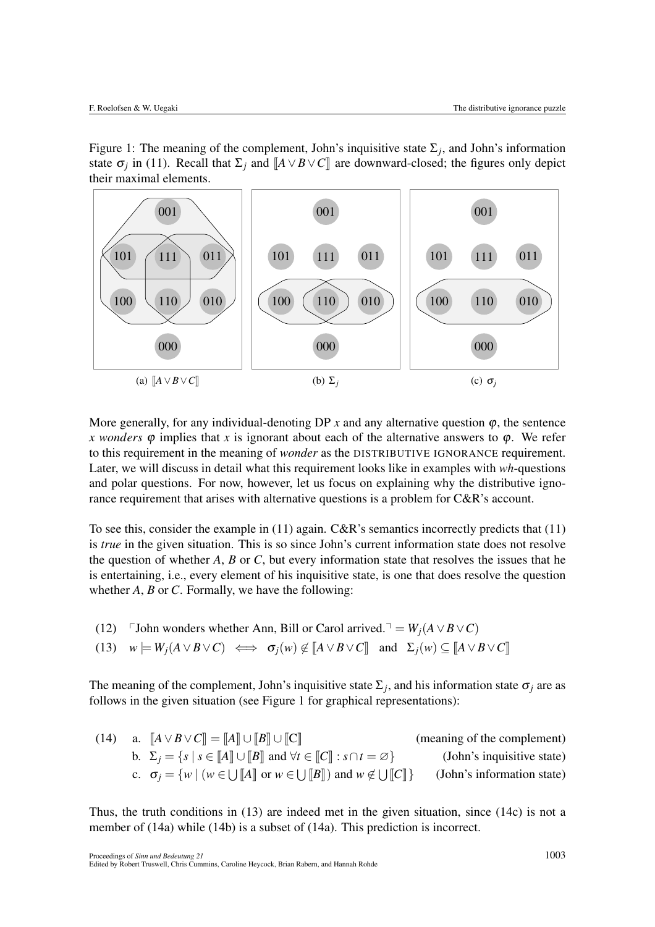Figure 1: The meaning of the complement, John's inquisitive state  $\Sigma_i$ , and John's information state  $\sigma_i$  in (11). Recall that  $\Sigma_i$  and  $[A \vee B \vee C]$  are downward-closed; the figures only depict their maximal elements.



More generally, for any individual-denoting DP  $x$  and any alternative question  $\varphi$ , the sentence *x wonders*  $\varphi$  implies that *x* is ignorant about each of the alternative answers to  $\varphi$ . We refer to this requirement in the meaning of *wonder* as the DISTRIBUTIVE IGNORANCE requirement. Later, we will discuss in detail what this requirement looks like in examples with *wh*-questions and polar questions. For now, however, let us focus on explaining why the distributive ignorance requirement that arises with alternative questions is a problem for C&R's account.

To see this, consider the example in (11) again. C&R's semantics incorrectly predicts that (11) is *true* in the given situation. This is so since John's current information state does not resolve the question of whether *A*, *B* or *C*, but every information state that resolves the issues that he is entertaining, i.e., every element of his inquisitive state, is one that does resolve the question whether *A*, *B* or *C*. Formally, we have the following:

(12) John wonders whether Ann, Bill or Carol arrived.<sup> $\neg$ </sup> = *W<sub>j</sub>*( $A \lor B \lor C$ )

(13) 
$$
w \models W_j(A \lor B \lor C) \iff \sigma_j(w) \not\in [A \lor B \lor C]
$$
 and  $\Sigma_j(w) \subseteq [A \lor B \lor C]$ 

The meaning of the complement, John's inquisitive state  $\Sigma_j$ , and his information state  $\sigma_j$  are as follows in the given situation (see Figure 1 for graphical representations):

(14) a. 
$$
\llbracket A \vee B \vee C \rrbracket = \llbracket A \rrbracket \cup \llbracket B \rrbracket \cup \llbracket C \rrbracket \tag{meaning of the complement} \tag{14.2}
$$
  
\nb. 
$$
\Sigma_j = \{ s \mid s \in \llbracket A \rrbracket \cup \llbracket B \rrbracket \text{ and } \forall t \in \llbracket C \rrbracket : s \cap t = \varnothing \} \tag{John's inquisitive state}
$$
  
\nc. 
$$
\sigma_j = \{ w \mid (w \in \bigcup \llbracket A \rrbracket \text{ or } w \in \bigcup \llbracket B \rrbracket) \text{ and } w \notin \bigcup \llbracket C \rrbracket \} \tag{John's information state}
$$

Thus, the truth conditions in (13) are indeed met in the given situation, since (14c) is not a member of (14a) while (14b) is a subset of (14a). This prediction is incorrect.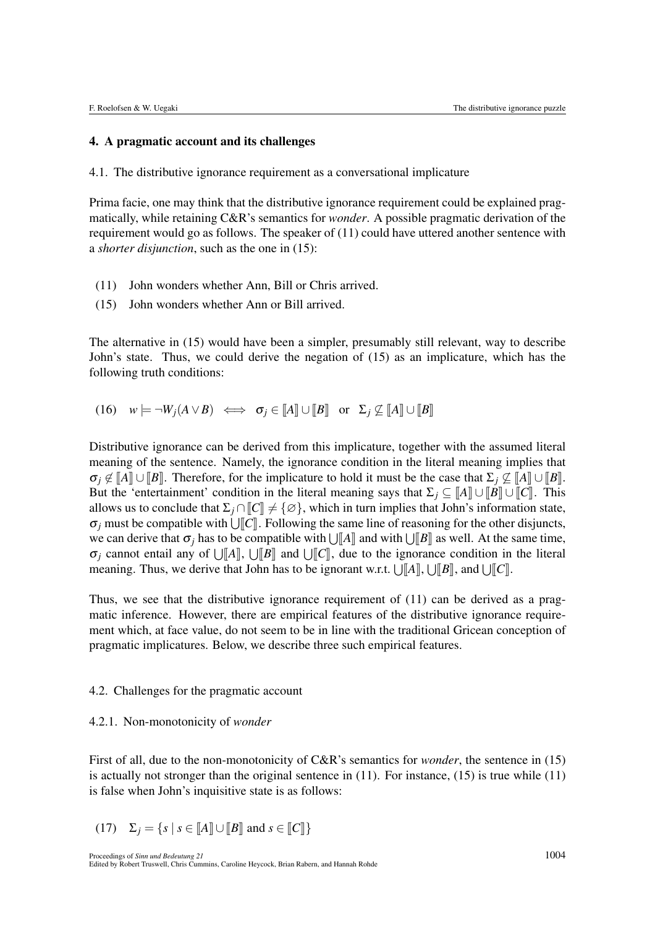#### 4. A pragmatic account and its challenges

4.1. The distributive ignorance requirement as a conversational implicature

Prima facie, one may think that the distributive ignorance requirement could be explained pragmatically, while retaining C&R's semantics for *wonder*. A possible pragmatic derivation of the requirement would go as follows. The speaker of (11) could have uttered another sentence with a *shorter disjunction*, such as the one in (15):

- (11) John wonders whether Ann, Bill or Chris arrived.
- (15) John wonders whether Ann or Bill arrived.

The alternative in (15) would have been a simpler, presumably still relevant, way to describe John's state. Thus, we could derive the negation of (15) as an implicature, which has the following truth conditions:

(16)  $w \models \neg W_i(A \lor B) \iff \sigma_i \in [A] \cup [B]$  or  $\Sigma_i \nsubseteq [A] \cup [B]$ 

Distributive ignorance can be derived from this implicature, together with the assumed literal meaning of the sentence. Namely, the ignorance condition in the literal meaning implies that  $\sigma_i \notin [A] \cup [B]$ . Therefore, for the implicature to hold it must be the case that  $\Sigma_i \notin [A] \cup [B]$ . But the 'entertainment' condition in the literal meaning says that  $\Sigma_i \subseteq [A] \cup [B] \cup [C]$ . This allows us to conclude that  $\Sigma_i \cap \mathcal{C} \neq \{\emptyset\}$ , which in turn implies that John's information state,  $\sigma_i$  must be compatible with  $\Box$  Following the same line of reasoning for the other disjuncts, we can derive that  $\sigma_i$  has to be compatible with  $\bigcup_{i=1}^k A_i$  and with  $\bigcup_{i=1}^k B_i$  as well. At the same time,  $\sigma_j$  cannot entail any of  $\bigcup [A], \bigcup [B]$  and  $\bigcup [C],$  due to the ignorance condition in the literal meaning. Thus, we derive that John has to be ignorant w.r.t.  $\bigcup [A], \bigcup [B],$  and  $\bigcup [C].$ 

Thus, we see that the distributive ignorance requirement of (11) can be derived as a pragmatic inference. However, there are empirical features of the distributive ignorance requirement which, at face value, do not seem to be in line with the traditional Gricean conception of pragmatic implicatures. Below, we describe three such empirical features.

#### 4.2. Challenges for the pragmatic account

### 4.2.1. Non-monotonicity of *wonder*

First of all, due to the non-monotonicity of C&R's semantics for *wonder*, the sentence in (15) is actually not stronger than the original sentence in  $(11)$ . For instance,  $(15)$  is true while  $(11)$ is false when John's inquisitive state is as follows:

(17)  $\Sigma_j = \{ s \mid s \in [A] \cup [B] \text{ and } s \in [C] \}$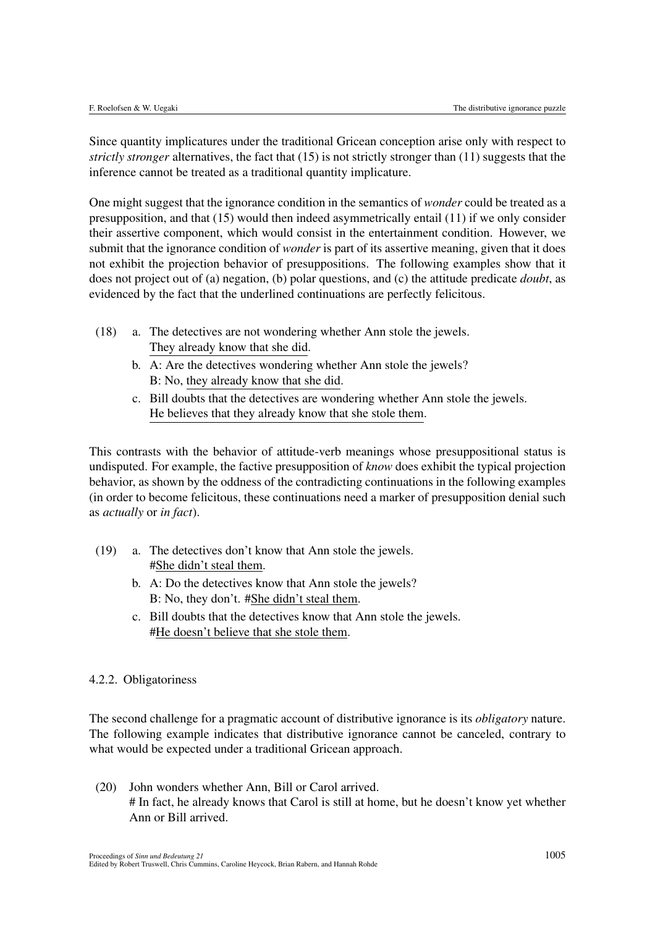Since quantity implicatures under the traditional Gricean conception arise only with respect to *strictly stronger* alternatives, the fact that (15) is not strictly stronger than (11) suggests that the inference cannot be treated as a traditional quantity implicature.

One might suggest that the ignorance condition in the semantics of *wonder* could be treated as a presupposition, and that (15) would then indeed asymmetrically entail (11) if we only consider their assertive component, which would consist in the entertainment condition. However, we submit that the ignorance condition of *wonder* is part of its assertive meaning, given that it does not exhibit the projection behavior of presuppositions. The following examples show that it does not project out of (a) negation, (b) polar questions, and (c) the attitude predicate *doubt*, as evidenced by the fact that the underlined continuations are perfectly felicitous.

- (18) a. The detectives are not wondering whether Ann stole the jewels. They already know that she did.
	- b. A: Are the detectives wondering whether Ann stole the jewels? B: No, they already know that she did.
	- c. Bill doubts that the detectives are wondering whether Ann stole the jewels. He believes that they already know that she stole them.

This contrasts with the behavior of attitude-verb meanings whose presuppositional status is undisputed. For example, the factive presupposition of *know* does exhibit the typical projection behavior, as shown by the oddness of the contradicting continuations in the following examples (in order to become felicitous, these continuations need a marker of presupposition denial such as *actually* or *in fact*).

- (19) a. The detectives don't know that Ann stole the jewels. #She didn't steal them.
	- b. A: Do the detectives know that Ann stole the jewels? B: No, they don't. #She didn't steal them.
	- c. Bill doubts that the detectives know that Ann stole the jewels. #He doesn't believe that she stole them.

## 4.2.2. Obligatoriness

The second challenge for a pragmatic account of distributive ignorance is its *obligatory* nature. The following example indicates that distributive ignorance cannot be canceled, contrary to what would be expected under a traditional Gricean approach.

(20) John wonders whether Ann, Bill or Carol arrived. # In fact, he already knows that Carol is still at home, but he doesn't know yet whether Ann or Bill arrived.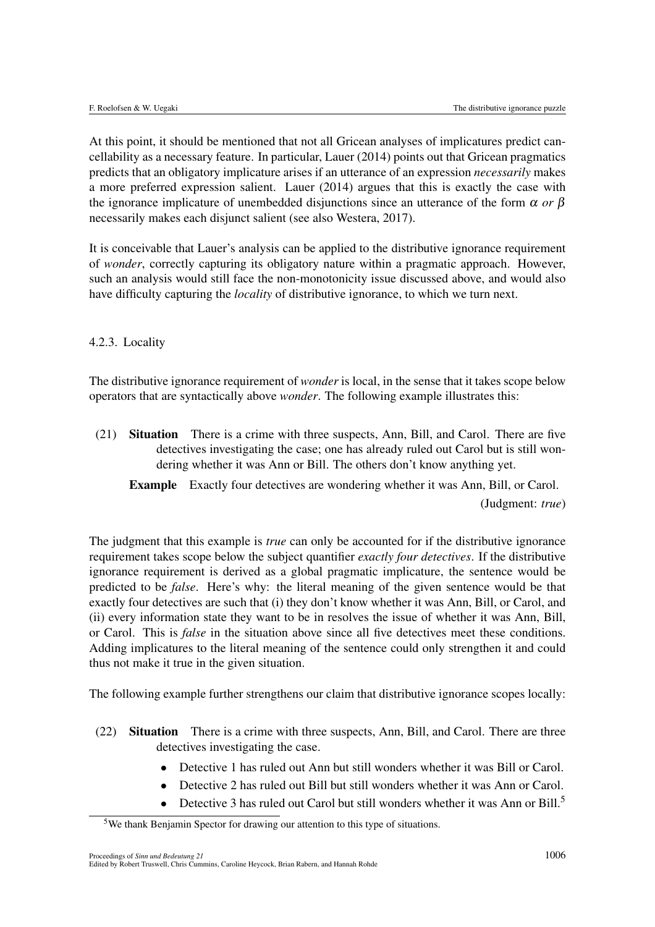At this point, it should be mentioned that not all Gricean analyses of implicatures predict cancellability as a necessary feature. In particular, Lauer (2014) points out that Gricean pragmatics predicts that an obligatory implicature arises if an utterance of an expression *necessarily* makes a more preferred expression salient. Lauer (2014) argues that this is exactly the case with the ignorance implicature of unembedded disjunctions since an utterance of the form  $\alpha$  or  $\beta$ necessarily makes each disjunct salient (see also Westera, 2017).

It is conceivable that Lauer's analysis can be applied to the distributive ignorance requirement of *wonder*, correctly capturing its obligatory nature within a pragmatic approach. However, such an analysis would still face the non-monotonicity issue discussed above, and would also have difficulty capturing the *locality* of distributive ignorance, to which we turn next.

## 4.2.3. Locality

The distributive ignorance requirement of *wonder* is local, in the sense that it takes scope below operators that are syntactically above *wonder*. The following example illustrates this:

(21) Situation There is a crime with three suspects, Ann, Bill, and Carol. There are five detectives investigating the case; one has already ruled out Carol but is still wondering whether it was Ann or Bill. The others don't know anything yet.

Example Exactly four detectives are wondering whether it was Ann, Bill, or Carol.

(Judgment: *true*)

The judgment that this example is *true* can only be accounted for if the distributive ignorance requirement takes scope below the subject quantifier *exactly four detectives*. If the distributive ignorance requirement is derived as a global pragmatic implicature, the sentence would be predicted to be *false*. Here's why: the literal meaning of the given sentence would be that exactly four detectives are such that (i) they don't know whether it was Ann, Bill, or Carol, and (ii) every information state they want to be in resolves the issue of whether it was Ann, Bill, or Carol. This is *false* in the situation above since all five detectives meet these conditions. Adding implicatures to the literal meaning of the sentence could only strengthen it and could thus not make it true in the given situation.

The following example further strengthens our claim that distributive ignorance scopes locally:

- (22) Situation There is a crime with three suspects, Ann, Bill, and Carol. There are three detectives investigating the case.
	- *•* Detective 1 has ruled out Ann but still wonders whether it was Bill or Carol.
	- *•* Detective 2 has ruled out Bill but still wonders whether it was Ann or Carol.
	- Detective 3 has ruled out Carol but still wonders whether it was Ann or Bill.<sup>5</sup>

 $5$ We thank Benjamin Spector for drawing our attention to this type of situations.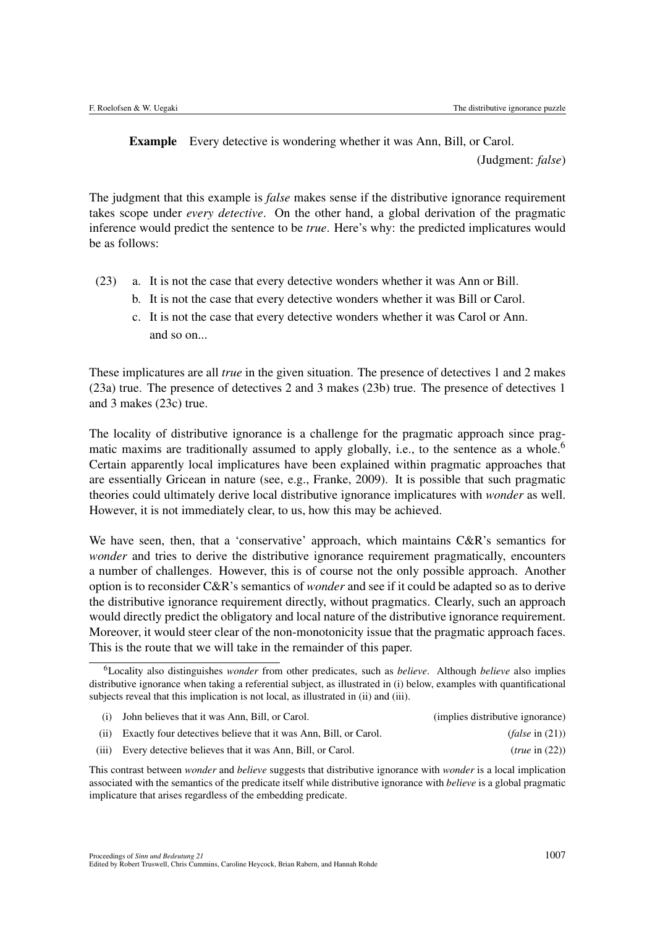Example Every detective is wondering whether it was Ann, Bill, or Carol.

(Judgment: *false*)

The judgment that this example is *false* makes sense if the distributive ignorance requirement takes scope under *every detective*. On the other hand, a global derivation of the pragmatic inference would predict the sentence to be *true*. Here's why: the predicted implicatures would be as follows:

- (23) a. It is not the case that every detective wonders whether it was Ann or Bill.
	- b. It is not the case that every detective wonders whether it was Bill or Carol.
	- c. It is not the case that every detective wonders whether it was Carol or Ann. and so on...

These implicatures are all *true* in the given situation. The presence of detectives 1 and 2 makes (23a) true. The presence of detectives 2 and 3 makes (23b) true. The presence of detectives 1 and 3 makes (23c) true.

The locality of distributive ignorance is a challenge for the pragmatic approach since pragmatic maxims are traditionally assumed to apply globally, i.e., to the sentence as a whole.<sup>6</sup> Certain apparently local implicatures have been explained within pragmatic approaches that are essentially Gricean in nature (see, e.g., Franke, 2009). It is possible that such pragmatic theories could ultimately derive local distributive ignorance implicatures with *wonder* as well. However, it is not immediately clear, to us, how this may be achieved.

We have seen, then, that a 'conservative' approach, which maintains C&R's semantics for *wonder* and tries to derive the distributive ignorance requirement pragmatically, encounters a number of challenges. However, this is of course not the only possible approach. Another option is to reconsider C&R's semantics of *wonder* and see if it could be adapted so as to derive the distributive ignorance requirement directly, without pragmatics. Clearly, such an approach would directly predict the obligatory and local nature of the distributive ignorance requirement. Moreover, it would steer clear of the non-monotonicity issue that the pragmatic approach faces. This is the route that we will take in the remainder of this paper.

| (i) John believes that it was Ann, Bill, or Carol.                    | (implies distributive ignorance) |
|-----------------------------------------------------------------------|----------------------------------|
| (ii) Exactly four detectives believe that it was Ann, Bill, or Carol. | $(false$ in $(21))$              |
| (iii) Every detective believes that it was Ann, Bill, or Carol.       | (true in (22))                   |

This contrast between *wonder* and *believe* suggests that distributive ignorance with *wonder* is a local implication associated with the semantics of the predicate itself while distributive ignorance with *believe* is a global pragmatic implicature that arises regardless of the embedding predicate.

<sup>6</sup>Locality also distinguishes *wonder* from other predicates, such as *believe*. Although *believe* also implies distributive ignorance when taking a referential subject, as illustrated in (i) below, examples with quantificational subjects reveal that this implication is not local, as illustrated in (ii) and (iii).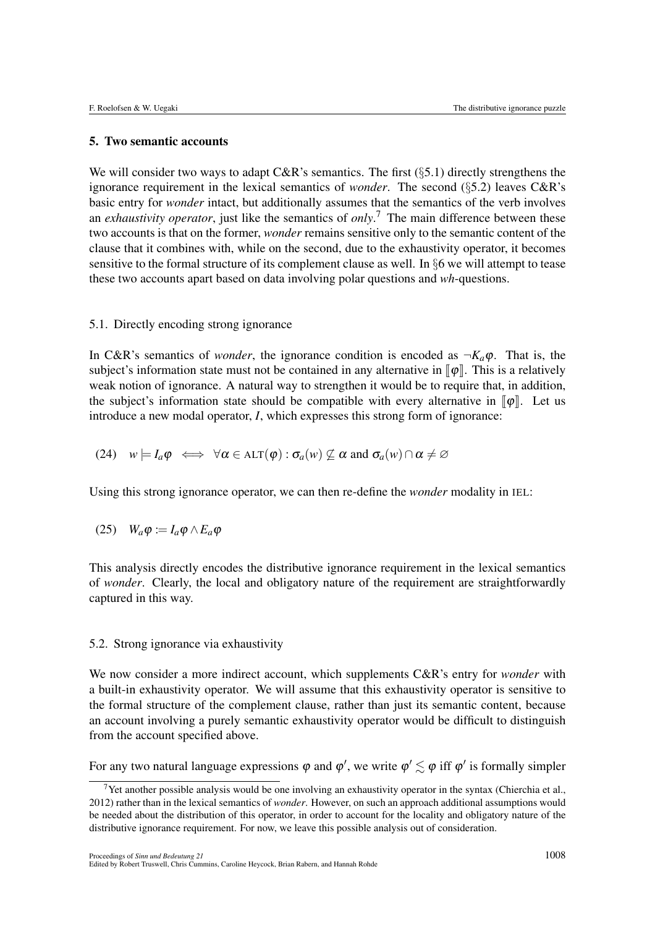#### 5. Two semantic accounts

We will consider two ways to adapt C&R's semantics. The first (*§*5.1) directly strengthens the ignorance requirement in the lexical semantics of *wonder*. The second (*§*5.2) leaves C&R's basic entry for *wonder* intact, but additionally assumes that the semantics of the verb involves an *exhaustivity operator*, just like the semantics of *only*. <sup>7</sup> The main difference between these two accounts is that on the former, *wonder* remains sensitive only to the semantic content of the clause that it combines with, while on the second, due to the exhaustivity operator, it becomes sensitive to the formal structure of its complement clause as well. In *§*6 we will attempt to tease these two accounts apart based on data involving polar questions and *wh*-questions.

#### 5.1. Directly encoding strong ignorance

In C&R's semantics of *wonder*, the ignorance condition is encoded as  $\neg K_a \varphi$ . That is, the subject's information state must not be contained in any alternative in  $\llbracket \varphi \rrbracket$ . This is a relatively weak notion of ignorance. A natural way to strengthen it would be to require that, in addition, the subject's information state should be compatible with every alternative in  $\llbracket \phi \rrbracket$ . Let us introduce a new modal operator, *I*, which expresses this strong form of ignorance:

(24) 
$$
w \models I_a \varphi \iff \forall \alpha \in \text{ALT}(\varphi) : \sigma_a(w) \not\subseteq \alpha \text{ and } \sigma_a(w) \cap \alpha \neq \varnothing
$$

Using this strong ignorance operator, we can then re-define the *wonder* modality in IEL:

$$
(25) \quad W_a \varphi := I_a \varphi \wedge E_a \varphi
$$

This analysis directly encodes the distributive ignorance requirement in the lexical semantics of *wonder*. Clearly, the local and obligatory nature of the requirement are straightforwardly captured in this way.

## 5.2. Strong ignorance via exhaustivity

We now consider a more indirect account, which supplements C&R's entry for *wonder* with a built-in exhaustivity operator. We will assume that this exhaustivity operator is sensitive to the formal structure of the complement clause, rather than just its semantic content, because an account involving a purely semantic exhaustivity operator would be difficult to distinguish from the account specified above.

For any two natural language expressions  $\varphi$  and  $\varphi',$  we write  $\varphi' \lesssim \varphi$  iff  $\varphi'$  is formally simpler

<sup>&</sup>lt;sup>7</sup>Yet another possible analysis would be one involving an exhaustivity operator in the syntax (Chierchia et al., 2012) rather than in the lexical semantics of *wonder*. However, on such an approach additional assumptions would be needed about the distribution of this operator, in order to account for the locality and obligatory nature of the distributive ignorance requirement. For now, we leave this possible analysis out of consideration.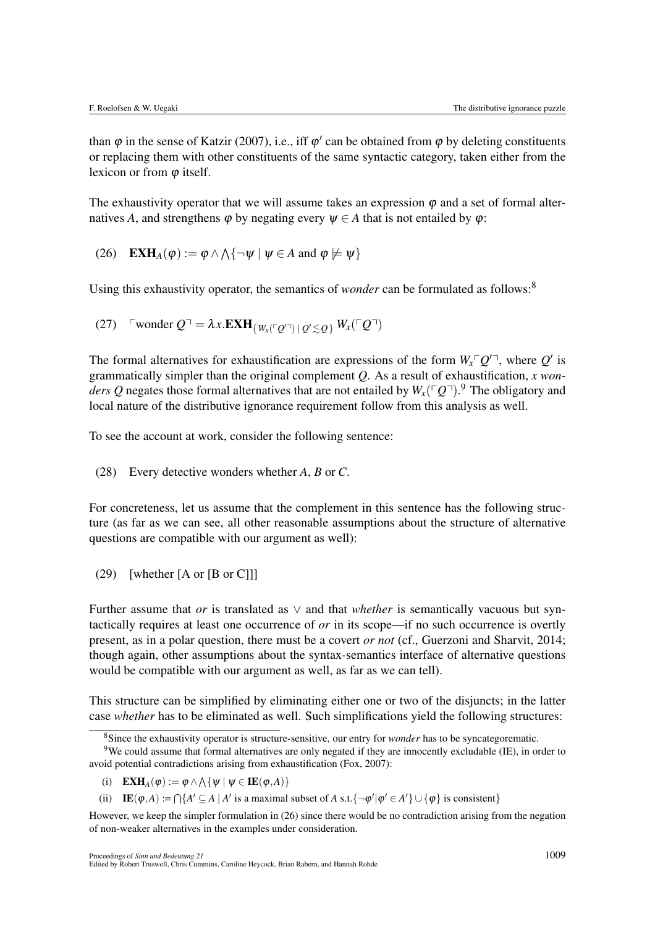than  $\varphi$  in the sense of Katzir (2007), i.e., iff  $\varphi'$  can be obtained from  $\varphi$  by deleting constituents or replacing them with other constituents of the same syntactic category, taken either from the lexicon or from  $\varphi$  itself.

The exhaustivity operator that we will assume takes an expression  $\varphi$  and a set of formal alternatives A, and strengthens  $\varphi$  by negating every  $\psi \in A$  that is not entailed by  $\varphi$ :

(26) 
$$
\mathbf{EXH}_{A}(\varphi) := \varphi \wedge \wedge \{\neg \psi \mid \psi \in A \text{ and } \varphi \not\models \psi\}
$$

Using this exhaustivity operator, the semantics of *wonder* can be formulated as follows:<sup>8</sup>

(27) 
$$
\text{wonder } Q^{-1} = \lambda x. \mathbf{EXH}_{\{W_x(\ulcorner Q \urcorner) \mid Q' \lesssim Q\}} W_x(\ulcorner Q^{-1})
$$

The formal alternatives for exhaustification are expressions of the form  $W_x \sim \mathcal{Q}'$ , where  $\mathcal{Q}'$  is grammatically simpler than the original complement *Q*. As a result of exhaustification, *x wonders Q* negates those formal alternatives that are not entailed by  $W_x(\ulcorner Q\urcorner).^9$  The obligatory and local nature of the distributive ignorance requirement follow from this analysis as well.

To see the account at work, consider the following sentence:

(28) Every detective wonders whether *A*, *B* or *C*.

For concreteness, let us assume that the complement in this sentence has the following structure (as far as we can see, all other reasonable assumptions about the structure of alternative questions are compatible with our argument as well):

(29) [whether [A or [B or C]]]

Further assume that *or* is translated as  $\vee$  and that *whether* is semantically vacuous but syntactically requires at least one occurrence of *or* in its scope—if no such occurrence is overtly present, as in a polar question, there must be a covert *or not* (cf., Guerzoni and Sharvit, 2014; though again, other assumptions about the syntax-semantics interface of alternative questions would be compatible with our argument as well, as far as we can tell).

This structure can be simplified by eliminating either one or two of the disjuncts; in the latter case *whether* has to be eliminated as well. Such simplifications yield the following structures:

(i)  $\mathbf{EXH}_{A}(\varphi) := \varphi \wedge \wedge \{ \psi \mid \psi \in \mathbf{IE}(\varphi, A) \}$ 

(ii) IE( $\varphi$ ,*A*) :=  $\bigcap$ { $A' \subseteq A \mid A'$  is a maximal subset of *A* s.t.{ $\neg \varphi' | \varphi' \in A'$ }  $\cup$  { $\varphi$ } is consistent}

<sup>8</sup>Since the exhaustivity operator is structure-sensitive, our entry for *wonder* has to be syncategorematic.

<sup>9</sup>We could assume that formal alternatives are only negated if they are innocently excludable (IE), in order to avoid potential contradictions arising from exhaustification (Fox, 2007):

However, we keep the simpler formulation in (26) since there would be no contradiction arising from the negation of non-weaker alternatives in the examples under consideration.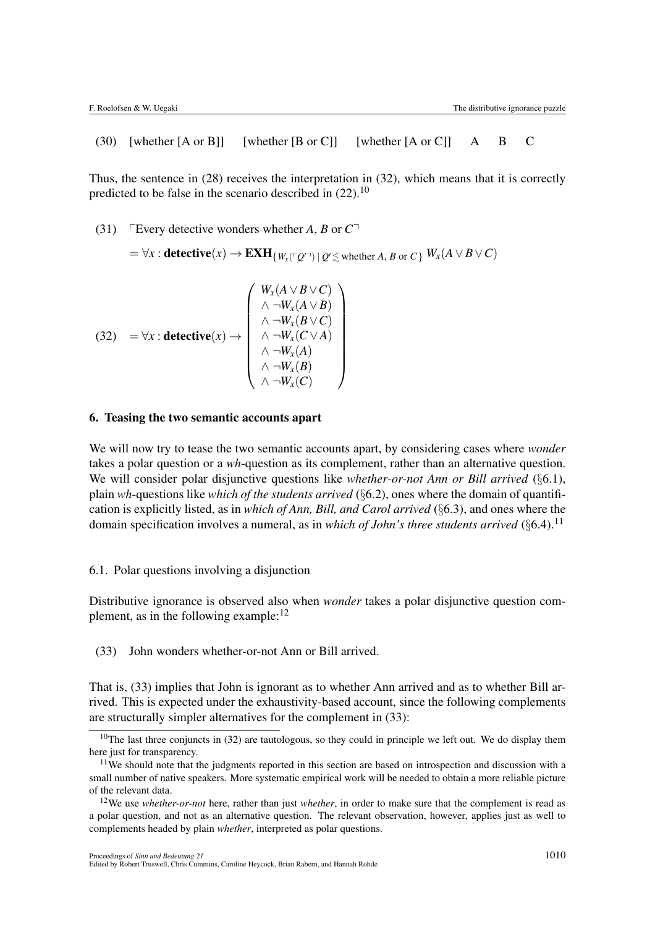(30) [whether [A or B]] [whether [B or C]] [whether [A or C]] A B C

Thus, the sentence in (28) receives the interpretation in (32), which means that it is correctly predicted to be false in the scenario described in  $(22)$ .<sup>10</sup>

(31) Fevery detective wonders whether *A*, *B* or  $C<sup>T</sup>$ 

 $\Rightarrow$   $\forall x: \textbf{detective}(x) \rightarrow \textbf{EXH}_{\{W_x(\ulcorner Q\urcorner)\:|\: Q' \lesssim \text{whether } A, \, B \text{ or } C\}} \: W_x(A \lor B \lor C)$ 

(32) = 
$$
\forall x : \text{detective}(x) \rightarrow \begin{pmatrix} W_x(A \lor B \lor C) \\ \land \neg W_x(A \lor B) \\ \land \neg W_x(B \lor C) \\ \land \neg W_x(C \lor A) \\ \land \neg W_x(A) \\ \land \neg W_x(A) \\ \land \neg W_x(B) \\ \land \neg W_x(C) \end{pmatrix}
$$

## 6. Teasing the two semantic accounts apart

We will now try to tease the two semantic accounts apart, by considering cases where *wonder* takes a polar question or a *wh*-question as its complement, rather than an alternative question. We will consider polar disjunctive questions like *whether-or-not Ann or Bill arrived* (*§*6.1), plain *wh*-questions like *which of the students arrived* (*§*6.2), ones where the domain of quantification is explicitly listed, as in *which of Ann, Bill, and Carol arrived* (*§*6.3), and ones where the domain specification involves a numeral, as in *which of John's three students arrived* (§6.4).<sup>11</sup>

#### 6.1. Polar questions involving a disjunction

Distributive ignorance is observed also when *wonder* takes a polar disjunctive question complement, as in the following example:  $12$ 

(33) John wonders whether-or-not Ann or Bill arrived.

That is, (33) implies that John is ignorant as to whether Ann arrived and as to whether Bill arrived. This is expected under the exhaustivity-based account, since the following complements are structurally simpler alternatives for the complement in (33):

<sup>&</sup>lt;sup>10</sup>The last three conjuncts in  $(32)$  are tautologous, so they could in principle we left out. We do display them here just for transparency.

<sup>&</sup>lt;sup>11</sup>We should note that the judgments reported in this section are based on introspection and discussion with a small number of native speakers. More systematic empirical work will be needed to obtain a more reliable picture of the relevant data.

<sup>12</sup>We use *whether-or-not* here, rather than just *whether*, in order to make sure that the complement is read as a polar question, and not as an alternative question. The relevant observation, however, applies just as well to complements headed by plain *whether*, interpreted as polar questions.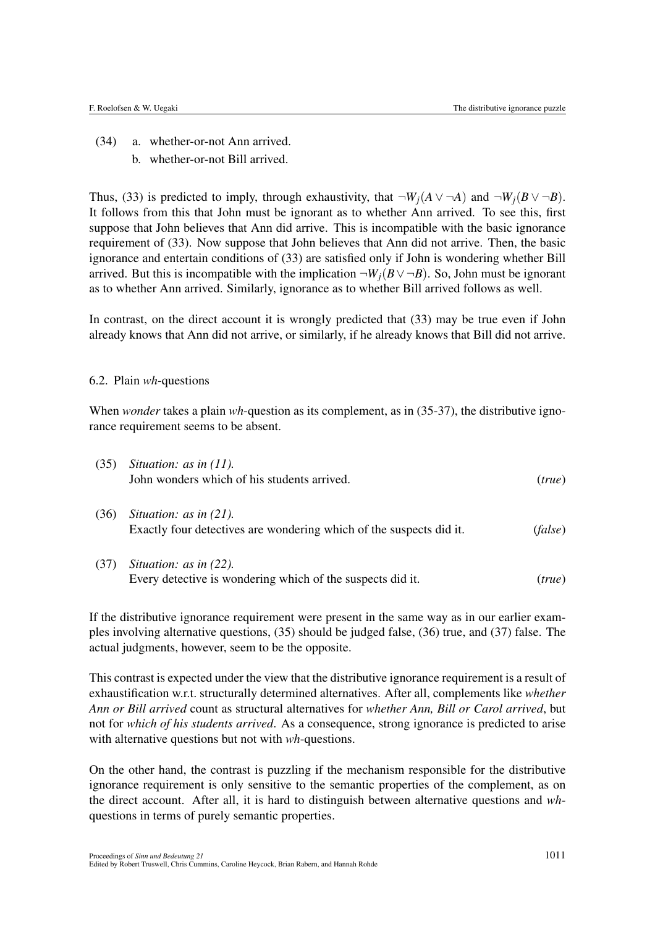- (34) a. whether-or-not Ann arrived.
	- b. whether-or-not Bill arrived.

Thus, (33) is predicted to imply, through exhaustivity, that  $\neg W_i(A \lor \neg A)$  and  $\neg W_i(B \lor \neg B)$ . It follows from this that John must be ignorant as to whether Ann arrived. To see this, first suppose that John believes that Ann did arrive. This is incompatible with the basic ignorance requirement of (33). Now suppose that John believes that Ann did not arrive. Then, the basic ignorance and entertain conditions of (33) are satisfied only if John is wondering whether Bill arrived. But this is incompatible with the implication  $\neg W_i(B \lor \neg B)$ . So, John must be ignorant as to whether Ann arrived. Similarly, ignorance as to whether Bill arrived follows as well.

In contrast, on the direct account it is wrongly predicted that (33) may be true even if John already knows that Ann did not arrive, or similarly, if he already knows that Bill did not arrive.

#### 6.2. Plain *wh*-questions

When *wonder* takes a plain *wh*-question as its complement, as in (35-37), the distributive ignorance requirement seems to be absent.

| (35) | Situation: as in $(11)$ .<br>John wonders which of his students arrived.                         | (true)  |
|------|--------------------------------------------------------------------------------------------------|---------|
| (36) | Situation: as in $(21)$ .<br>Exactly four detectives are wondering which of the suspects did it. | (false) |
| (37) | Situation: as in $(22)$ .<br>Every detective is wondering which of the suspects did it.          | (true)  |

If the distributive ignorance requirement were present in the same way as in our earlier examples involving alternative questions, (35) should be judged false, (36) true, and (37) false. The actual judgments, however, seem to be the opposite.

This contrast is expected under the view that the distributive ignorance requirement is a result of exhaustification w.r.t. structurally determined alternatives. After all, complements like *whether Ann or Bill arrived* count as structural alternatives for *whether Ann, Bill or Carol arrived*, but not for *which of his students arrived*. As a consequence, strong ignorance is predicted to arise with alternative questions but not with *wh*-questions.

On the other hand, the contrast is puzzling if the mechanism responsible for the distributive ignorance requirement is only sensitive to the semantic properties of the complement, as on the direct account. After all, it is hard to distinguish between alternative questions and *wh*questions in terms of purely semantic properties.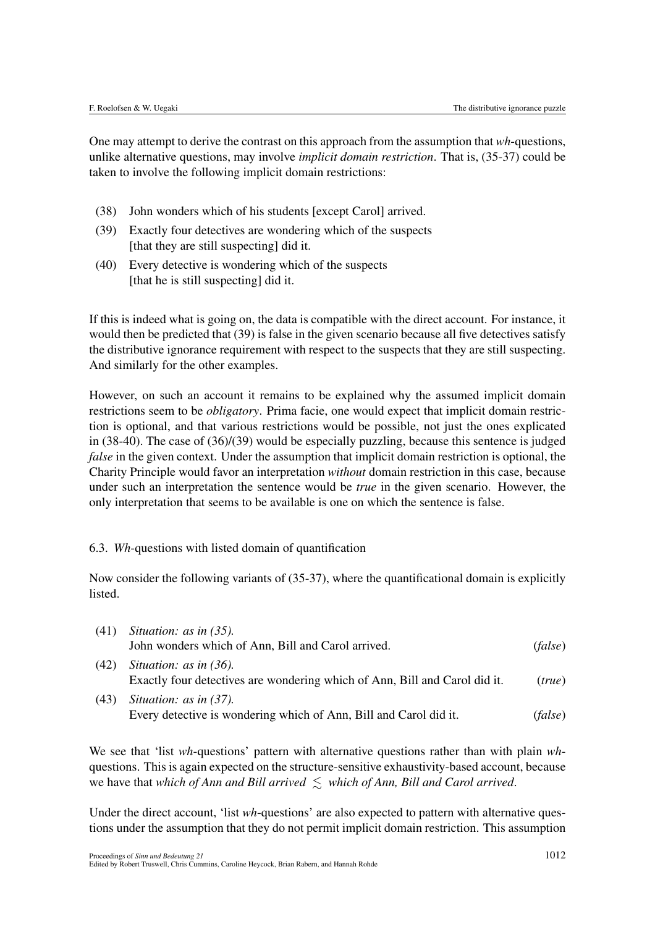One may attempt to derive the contrast on this approach from the assumption that *wh*-questions, unlike alternative questions, may involve *implicit domain restriction*. That is, (35-37) could be taken to involve the following implicit domain restrictions:

- (38) John wonders which of his students [except Carol] arrived.
- (39) Exactly four detectives are wondering which of the suspects [that they are still suspecting] did it.
- (40) Every detective is wondering which of the suspects [that he is still suspecting] did it.

If this is indeed what is going on, the data is compatible with the direct account. For instance, it would then be predicted that (39) is false in the given scenario because all five detectives satisfy the distributive ignorance requirement with respect to the suspects that they are still suspecting. And similarly for the other examples.

However, on such an account it remains to be explained why the assumed implicit domain restrictions seem to be *obligatory*. Prima facie, one would expect that implicit domain restriction is optional, and that various restrictions would be possible, not just the ones explicated in (38-40). The case of (36)/(39) would be especially puzzling, because this sentence is judged *false* in the given context. Under the assumption that implicit domain restriction is optional, the Charity Principle would favor an interpretation *without* domain restriction in this case, because under such an interpretation the sentence would be *true* in the given scenario. However, the only interpretation that seems to be available is one on which the sentence is false.

## 6.3. *Wh*-questions with listed domain of quantification

Now consider the following variants of (35-37), where the quantificational domain is explicitly listed.

| (41) | Situation: as in $(35)$ .                                                                               |         |  |
|------|---------------------------------------------------------------------------------------------------------|---------|--|
|      | John wonders which of Ann, Bill and Carol arrived.                                                      | (false) |  |
| (42) | Situation: as in $(36)$ .<br>Exactly four detectives are wondering which of Ann, Bill and Carol did it. | (true)  |  |
| (43) | Situation: as in $(37)$ .<br>Every detective is wondering which of Ann, Bill and Carol did it.          | (false) |  |

We see that 'list *wh*-questions' pattern with alternative questions rather than with plain *wh*questions. This is again expected on the structure-sensitive exhaustivity-based account, because we have that *which of Ann and Bill arrived*  $\leq$  *which of Ann, Bill and Carol arrived.* 

Under the direct account, 'list *wh*-questions' are also expected to pattern with alternative questions under the assumption that they do not permit implicit domain restriction. This assumption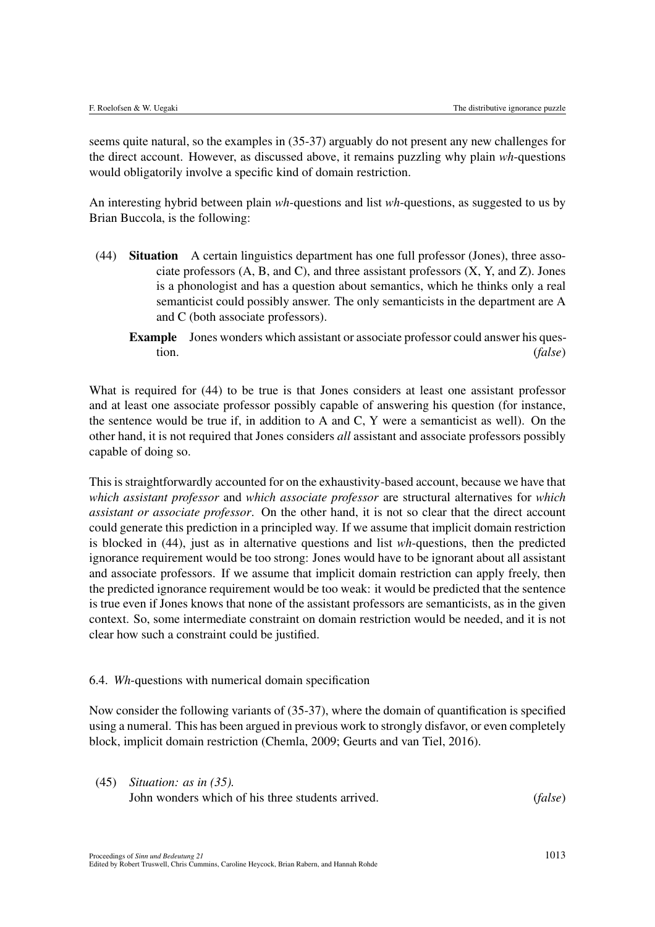seems quite natural, so the examples in (35-37) arguably do not present any new challenges for the direct account. However, as discussed above, it remains puzzling why plain *wh*-questions would obligatorily involve a specific kind of domain restriction.

An interesting hybrid between plain *wh*-questions and list *wh*-questions, as suggested to us by Brian Buccola, is the following:

- (44) Situation A certain linguistics department has one full professor (Jones), three associate professors (A, B, and C), and three assistant professors (X, Y, and Z). Jones is a phonologist and has a question about semantics, which he thinks only a real semanticist could possibly answer. The only semanticists in the department are A and C (both associate professors).
	- Example Jones wonders which assistant or associate professor could answer his question. (*false*)

What is required for (44) to be true is that Jones considers at least one assistant professor and at least one associate professor possibly capable of answering his question (for instance, the sentence would be true if, in addition to A and C, Y were a semanticist as well). On the other hand, it is not required that Jones considers *all* assistant and associate professors possibly capable of doing so.

This is straightforwardly accounted for on the exhaustivity-based account, because we have that *which assistant professor* and *which associate professor* are structural alternatives for *which assistant or associate professor*. On the other hand, it is not so clear that the direct account could generate this prediction in a principled way. If we assume that implicit domain restriction is blocked in (44), just as in alternative questions and list *wh*-questions, then the predicted ignorance requirement would be too strong: Jones would have to be ignorant about all assistant and associate professors. If we assume that implicit domain restriction can apply freely, then the predicted ignorance requirement would be too weak: it would be predicted that the sentence is true even if Jones knows that none of the assistant professors are semanticists, as in the given context. So, some intermediate constraint on domain restriction would be needed, and it is not clear how such a constraint could be justified.

## 6.4. *Wh*-questions with numerical domain specification

Now consider the following variants of (35-37), where the domain of quantification is specified using a numeral. This has been argued in previous work to strongly disfavor, or even completely block, implicit domain restriction (Chemla, 2009; Geurts and van Tiel, 2016).

(45) *Situation: as in (35).* John wonders which of his three students arrived. (*false*)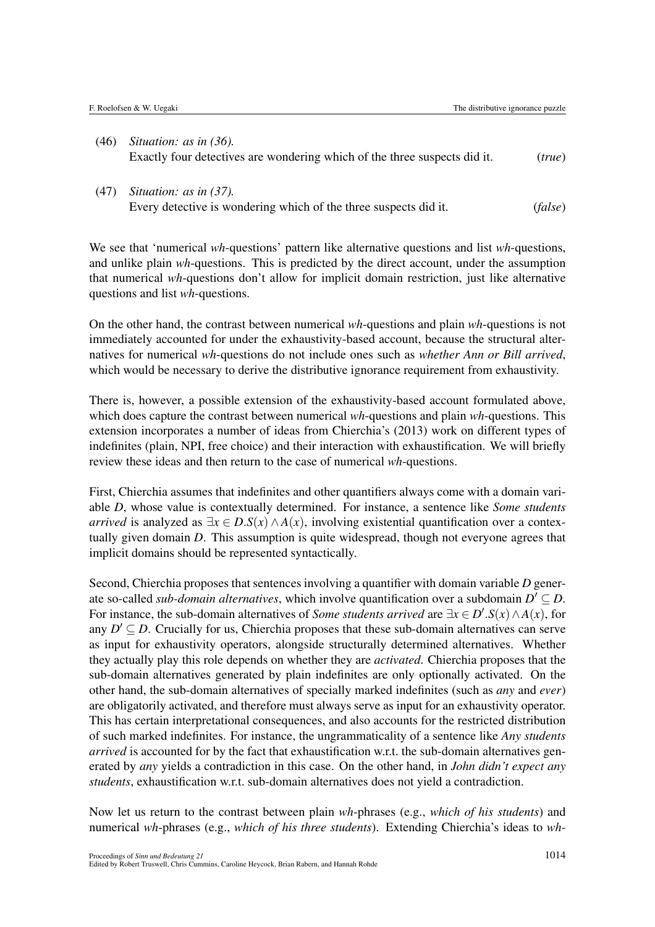- (46) *Situation: as in (36).* Exactly four detectives are wondering which of the three suspects did it. (*true*)
- (47) *Situation: as in (37).* Every detective is wondering which of the three suspects did it. (*false*)

We see that 'numerical *wh*-questions' pattern like alternative questions and list *wh*-questions, and unlike plain *wh*-questions. This is predicted by the direct account, under the assumption that numerical *wh*-questions don't allow for implicit domain restriction, just like alternative questions and list *wh*-questions.

On the other hand, the contrast between numerical *wh*-questions and plain *wh*-questions is not immediately accounted for under the exhaustivity-based account, because the structural alternatives for numerical *wh*-questions do not include ones such as *whether Ann or Bill arrived*, which would be necessary to derive the distributive ignorance requirement from exhaustivity.

There is, however, a possible extension of the exhaustivity-based account formulated above, which does capture the contrast between numerical *wh*-questions and plain *wh*-questions. This extension incorporates a number of ideas from Chierchia's (2013) work on different types of indefinites (plain, NPI, free choice) and their interaction with exhaustification. We will briefly review these ideas and then return to the case of numerical *wh*-questions.

First, Chierchia assumes that indefinites and other quantifiers always come with a domain variable *D*, whose value is contextually determined. For instance, a sentence like *Some students arrived* is analyzed as  $\exists x \in D.S(x) \land A(x)$ , involving existential quantification over a contextually given domain *D*. This assumption is quite widespread, though not everyone agrees that implicit domains should be represented syntactically.

Second, Chierchia proposes that sentences involving a quantifier with domain variable *D* generate so-called *sub-domain alternatives*, which involve quantification over a subdomain  $D' \subseteq D$ . For instance, the sub-domain alternatives of *Some students arrived* are  $\exists x \in D'.S(x) \land A(x)$ , for any  $D' \subset D$ . Crucially for us, Chierchia proposes that these sub-domain alternatives can serve as input for exhaustivity operators, alongside structurally determined alternatives. Whether they actually play this role depends on whether they are *activated*. Chierchia proposes that the sub-domain alternatives generated by plain indefinites are only optionally activated. On the other hand, the sub-domain alternatives of specially marked indefinites (such as *any* and *ever*) are obligatorily activated, and therefore must always serve as input for an exhaustivity operator. This has certain interpretational consequences, and also accounts for the restricted distribution of such marked indefinites. For instance, the ungrammaticality of a sentence like *Any students arrived* is accounted for by the fact that exhaustification w.r.t. the sub-domain alternatives generated by *any* yields a contradiction in this case. On the other hand, in *John didn't expect any students*, exhaustification w.r.t. sub-domain alternatives does not yield a contradiction.

Now let us return to the contrast between plain *wh*-phrases (e.g., *which of his students*) and numerical *wh*-phrases (e.g., *which of his three students*). Extending Chierchia's ideas to *wh*-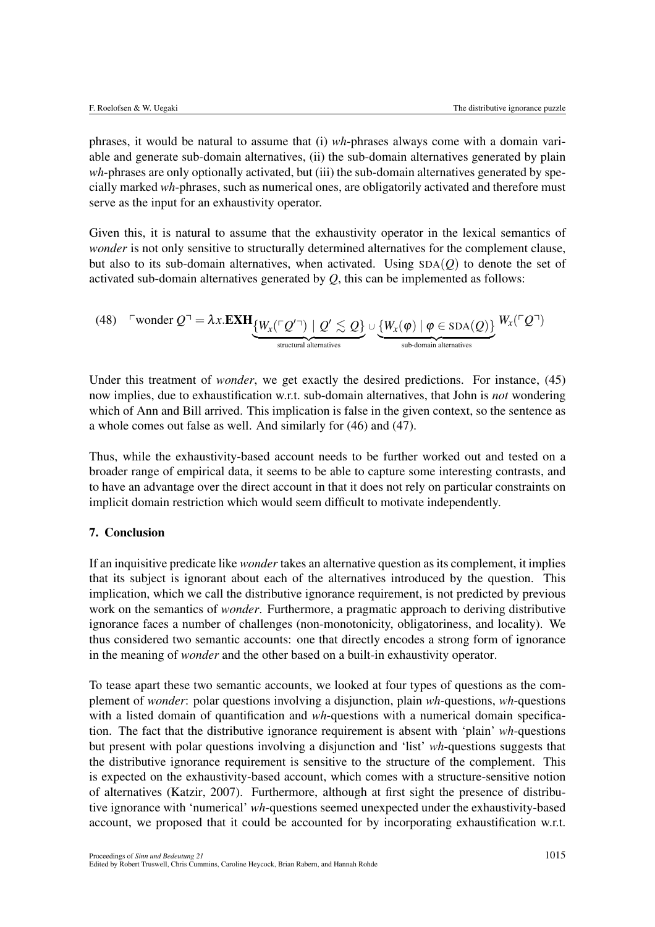phrases, it would be natural to assume that (i) *wh*-phrases always come with a domain variable and generate sub-domain alternatives, (ii) the sub-domain alternatives generated by plain *wh*-phrases are only optionally activated, but (iii) the sub-domain alternatives generated by specially marked *wh*-phrases, such as numerical ones, are obligatorily activated and therefore must serve as the input for an exhaustivity operator.

Given this, it is natural to assume that the exhaustivity operator in the lexical semantics of *wonder* is not only sensitive to structurally determined alternatives for the complement clause, but also to its sub-domain alternatives, when activated. Using  $SDA(O)$  to denote the set of activated sub-domain alternatives generated by *Q*, this can be implemented as follows:

(48) 
$$
\text{`wonder } Q^\neg = \lambda x. \text{EXH}_{\{W_x(\ulcorner Q'^\neg) \mid Q' \lesssim Q\}} \cup \underbrace{\{W_x(\varphi) \mid \varphi \in \text{SDA}(Q)\}}_{\text{sub-domain alternatives}} W_x(\ulcorner Q^\neg)
$$

Under this treatment of *wonder*, we get exactly the desired predictions. For instance, (45) now implies, due to exhaustification w.r.t. sub-domain alternatives, that John is *not* wondering which of Ann and Bill arrived. This implication is false in the given context, so the sentence as a whole comes out false as well. And similarly for (46) and (47).

Thus, while the exhaustivity-based account needs to be further worked out and tested on a broader range of empirical data, it seems to be able to capture some interesting contrasts, and to have an advantage over the direct account in that it does not rely on particular constraints on implicit domain restriction which would seem difficult to motivate independently.

## 7. Conclusion

If an inquisitive predicate like *wonder* takes an alternative question as its complement, it implies that its subject is ignorant about each of the alternatives introduced by the question. This implication, which we call the distributive ignorance requirement, is not predicted by previous work on the semantics of *wonder*. Furthermore, a pragmatic approach to deriving distributive ignorance faces a number of challenges (non-monotonicity, obligatoriness, and locality). We thus considered two semantic accounts: one that directly encodes a strong form of ignorance in the meaning of *wonder* and the other based on a built-in exhaustivity operator.

To tease apart these two semantic accounts, we looked at four types of questions as the complement of *wonder*: polar questions involving a disjunction, plain *wh*-questions, *wh*-questions with a listed domain of quantification and *wh*-questions with a numerical domain specification. The fact that the distributive ignorance requirement is absent with 'plain' *wh*-questions but present with polar questions involving a disjunction and 'list' *wh*-questions suggests that the distributive ignorance requirement is sensitive to the structure of the complement. This is expected on the exhaustivity-based account, which comes with a structure-sensitive notion of alternatives (Katzir, 2007). Furthermore, although at first sight the presence of distributive ignorance with 'numerical' *wh*-questions seemed unexpected under the exhaustivity-based account, we proposed that it could be accounted for by incorporating exhaustification w.r.t.